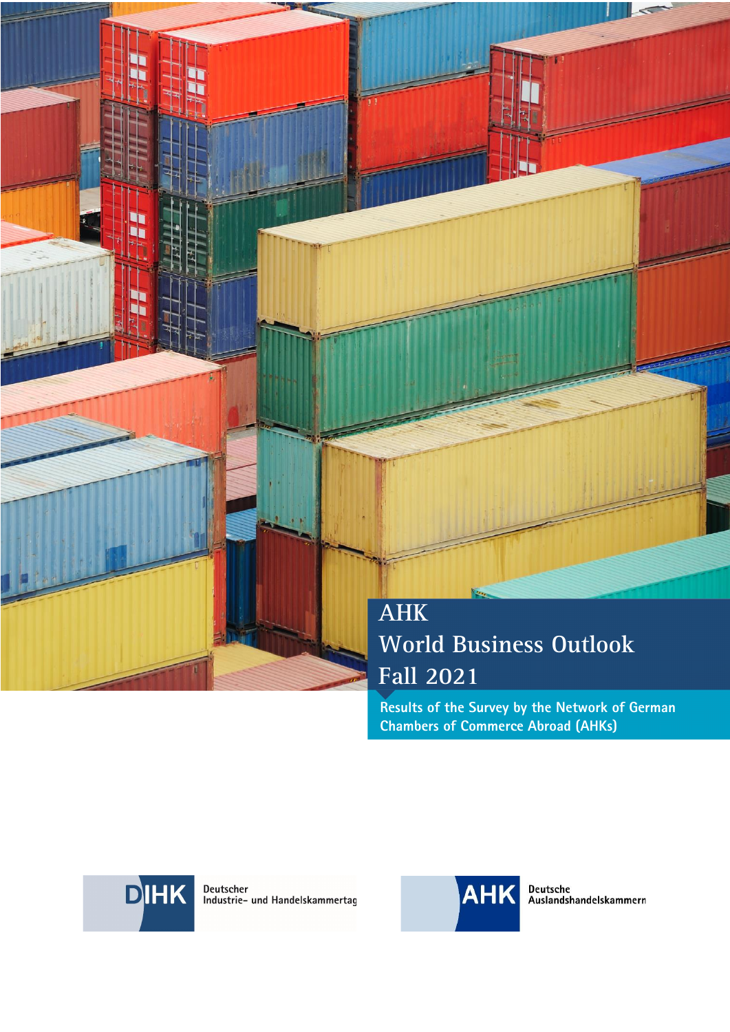# **AHK World Business Outlook Fall 2021**

**Results of the Survey by the Network of German Chambers of Commerce Abroad (AHKs)** 



Dr.

Deutscher<br>Industrie- und Handelskammertag

AHK WORLD BUSINESS OUTLOOK - FALL 2021 12:00 DESCRIPTION OF A LIGHT BUSINESS OF A LIGHT BUSINESS OF A LIGHT BUSINESS OF A LIGHT BUSINESS OF A LIGHT BUSINESS OF A LIGHT BUSINESS OF A LIGHT BUSINESS OF A LIGHT BUSINESS OF A



Deutsche<br>Auslandshandelskammern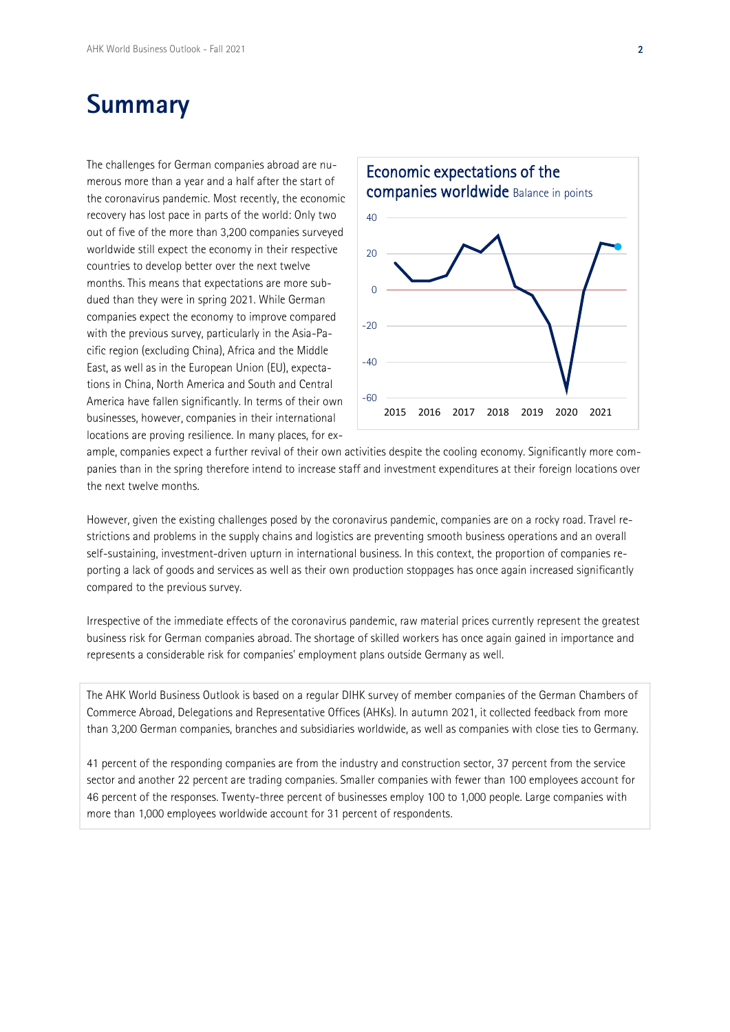# **Summary**

The challenges for German companies abroad are numerous more than a year and a half after the start of the coronavirus pandemic. Most recently, the economic recovery has lost pace in parts of the world: Only two out of five of the more than 3,200 companies surveyed worldwide still expect the economy in their respective countries to develop better over the next twelve months. This means that expectations are more subdued than they were in spring 2021. While German companies expect the economy to improve compared with the previous survey, particularly in the Asia-Pacific region (excluding China), Africa and the Middle East, as well as in the European Union (EU), expectations in China, North America and South and Central America have fallen significantly. In terms of their own businesses, however, companies in their international locations are proving resilience. In many places, for ex-



ample, companies expect a further revival of their own activities despite the cooling economy. Significantly more companies than in the spring therefore intend to increase staff and investment expenditures at their foreign locations over the next twelve months.

However, given the existing challenges posed by the coronavirus pandemic, companies are on a rocky road. Travel restrictions and problems in the supply chains and logistics are preventing smooth business operations and an overall self-sustaining, investment-driven upturn in international business. In this context, the proportion of companies reporting a lack of goods and services as well as their own production stoppages has once again increased significantly compared to the previous survey.

Irrespective of the immediate effects of the coronavirus pandemic, raw material prices currently represent the greatest business risk for German companies abroad. The shortage of skilled workers has once again gained in importance and represents a considerable risk for companies' employment plans outside Germany as well.

The AHK World Business Outlook is based on a regular DIHK survey of member companies of the German Chambers of Commerce Abroad, Delegations and Representative Offices (AHKs). In autumn 2021, it collected feedback from more than 3,200 German companies, branches and subsidiaries worldwide, as well as companies with close ties to Germany.

41 percent of the responding companies are from the industry and construction sector, 37 percent from the service sector and another 22 percent are trading companies. Smaller companies with fewer than 100 employees account for 46 percent of the responses. Twenty-three percent of businesses employ 100 to 1,000 people. Large companies with more than 1,000 employees worldwide account for 31 percent of respondents.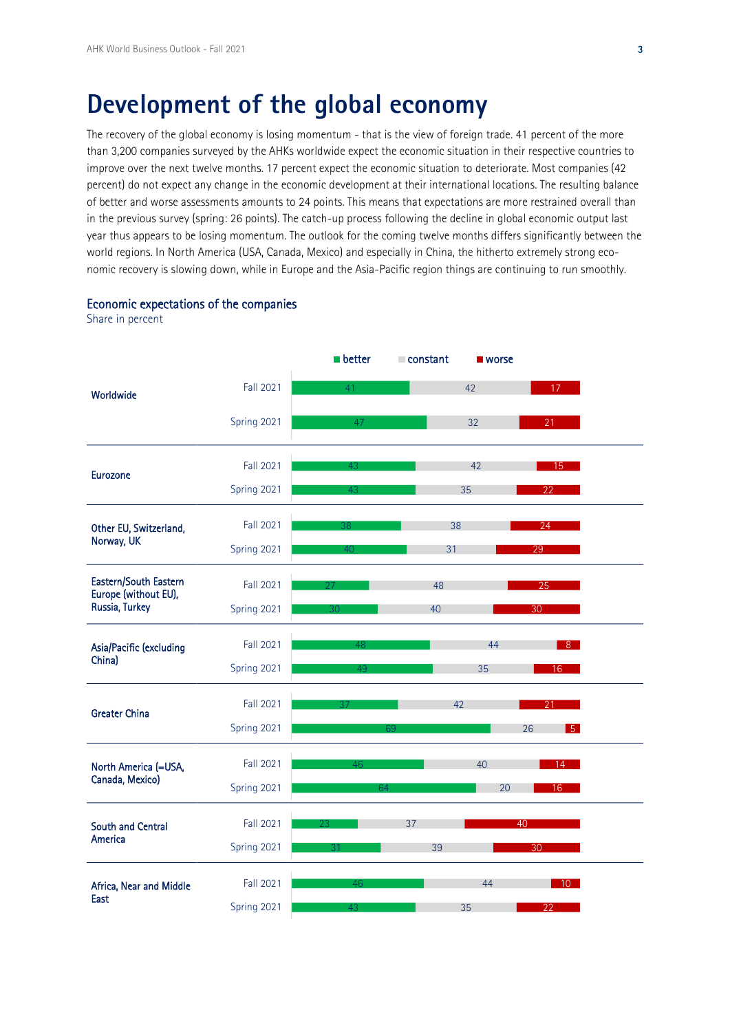# **Development of the global economy**

The recovery of the global economy is losing momentum - that is the view of foreign trade. 41 percent of the more than 3,200 companies surveyed by the AHKs worldwide expect the economic situation in their respective countries to improve over the next twelve months. 17 percent expect the economic situation to deteriorate. Most companies (42 percent) do not expect any change in the economic development at their international locations. The resulting balance of better and worse assessments amounts to 24 points. This means that expectations are more restrained overall than in the previous survey (spring: 26 points). The catch-up process following the decline in global economic output last year thus appears to be losing momentum. The outlook for the coming twelve months differs significantly between the world regions. In North America (USA, Canada, Mexico) and especially in China, the hitherto extremely strong economic recovery is slowing down, while in Europe and the Asia-Pacific region things are continuing to run smoothly.

#### Economic expectations of the companies

Share in percent

|                                         |                  | <b>D</b> better | constant | ■ worse |                 |
|-----------------------------------------|------------------|-----------------|----------|---------|-----------------|
| Worldwide                               | <b>Fall 2021</b> | 41              |          | 42      | 17              |
|                                         | Spring 2021      | 47              |          | 32      | 21              |
| Eurozone                                | <b>Fall 2021</b> | 43              |          | 42      | 15              |
|                                         | Spring 2021      | 43              |          | 35      | 22              |
| Other EU, Switzerland,<br>Norway, UK    | Fall 2021        |                 | 38       |         | 24              |
|                                         | Spring 2021      | 40 <sup>°</sup> | 31       |         | $\overline{29}$ |
| Eastern/South Eastern                   | Fall 2021        |                 | 48       |         | 25              |
| Europe (without EU),<br>Russia, Turkey  | Spring 2021      | 30              | 40       |         | 30              |
|                                         | Fall 2021        | 48              |          | 44      | 8 <sup>°</sup>  |
| Asia/Pacific (excluding<br>China)       | Spring 2021      | 49              |          | 35      | 16              |
| <b>Greater China</b>                    | Fall 2021        | 37              | 42       |         | 21              |
|                                         | Spring 2021      |                 |          | 26      | 5 <sup>1</sup>  |
| North America (=USA,<br>Canada, Mexico) | Fall 2021        | 46              |          | 40      | 14 -            |
|                                         | Spring 2021      | 64              |          | 20      | 16              |
| South and Central<br>America            | Fall 2021        |                 | 37       | 40      |                 |
|                                         | Spring 2021      |                 | 39       |         | 30              |
| Africa, Near and Middle                 | Fall 2021        | 46              |          | 44      | $10-10$         |
| East                                    | Spring 2021      | 43              |          | 35      | 22              |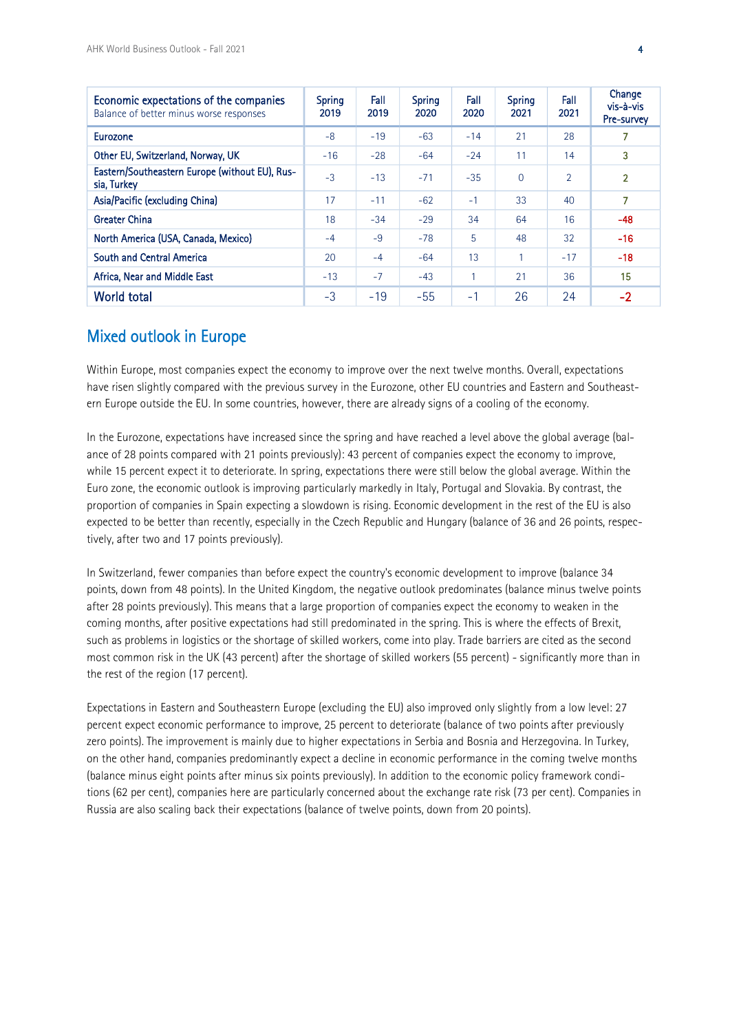| Economic expectations of the companies<br>Balance of better minus worse responses | Spring<br>2019 | Fall<br>2019 | Spring<br>2020 | Fall<br>2020 | <b>Spring</b><br>2021 | Fall<br>2021 | Change<br>vis-à-vis<br>Pre-survey |
|-----------------------------------------------------------------------------------|----------------|--------------|----------------|--------------|-----------------------|--------------|-----------------------------------|
| Eurozone                                                                          | $-8$           | $-19$        | $-63$          | $-14$        | 21                    | 28           |                                   |
| Other EU, Switzerland, Norway, UK                                                 | $-16$          | $-28$        | $-64$          | $-24$        | 11                    | 14           | 3                                 |
| Eastern/Southeastern Europe (without EU), Rus-<br>sia, Turkey                     | $-3$           | $-13$        | $-71$          | $-35$        | $\overline{0}$        | 2            | $\overline{2}$                    |
| Asia/Pacific (excluding China)                                                    | 17             | $-11$        | $-62$          | $-1$         | 33                    | 40           |                                   |
| <b>Greater China</b>                                                              | 18             | $-34$        | $-29$          | 34           | 64                    | 16           | $-48$                             |
| North America (USA, Canada, Mexico)                                               | $-4$           | $-9$         | $-78$          | 5            | 48                    | 32           | $-16$                             |
| South and Central America                                                         | 20             | $-4$         | $-64$          | 13           | 1                     | $-17$        | $-18$                             |
| Africa, Near and Middle East                                                      | $-13$          | $-7$         | $-43$          | 1            | 21                    | 36           | 15                                |
| <b>World total</b>                                                                | $-3$           | $-19$        | $-55$          | $-1$         | 26                    | 24           | $-2$                              |

### Mixed outlook in Europe

Within Europe, most companies expect the economy to improve over the next twelve months. Overall, expectations have risen slightly compared with the previous survey in the Eurozone, other EU countries and Eastern and Southeastern Europe outside the EU. In some countries, however, there are already signs of a cooling of the economy.

In the Eurozone, expectations have increased since the spring and have reached a level above the global average (balance of 28 points compared with 21 points previously): 43 percent of companies expect the economy to improve, while 15 percent expect it to deteriorate. In spring, expectations there were still below the global average. Within the Euro zone, the economic outlook is improving particularly markedly in Italy, Portugal and Slovakia. By contrast, the proportion of companies in Spain expecting a slowdown is rising. Economic development in the rest of the EU is also expected to be better than recently, especially in the Czech Republic and Hungary (balance of 36 and 26 points, respectively, after two and 17 points previously).

In Switzerland, fewer companies than before expect the country's economic development to improve (balance 34 points, down from 48 points). In the United Kingdom, the negative outlook predominates (balance minus twelve points after 28 points previously). This means that a large proportion of companies expect the economy to weaken in the coming months, after positive expectations had still predominated in the spring. This is where the effects of Brexit, such as problems in logistics or the shortage of skilled workers, come into play. Trade barriers are cited as the second most common risk in the UK (43 percent) after the shortage of skilled workers (55 percent) - significantly more than in the rest of the region (17 percent).

Expectations in Eastern and Southeastern Europe (excluding the EU) also improved only slightly from a low level: 27 percent expect economic performance to improve, 25 percent to deteriorate (balance of two points after previously zero points). The improvement is mainly due to higher expectations in Serbia and Bosnia and Herzegovina. In Turkey, on the other hand, companies predominantly expect a decline in economic performance in the coming twelve months (balance minus eight points after minus six points previously). In addition to the economic policy framework conditions (62 per cent), companies here are particularly concerned about the exchange rate risk (73 per cent). Companies in Russia are also scaling back their expectations (balance of twelve points, down from 20 points).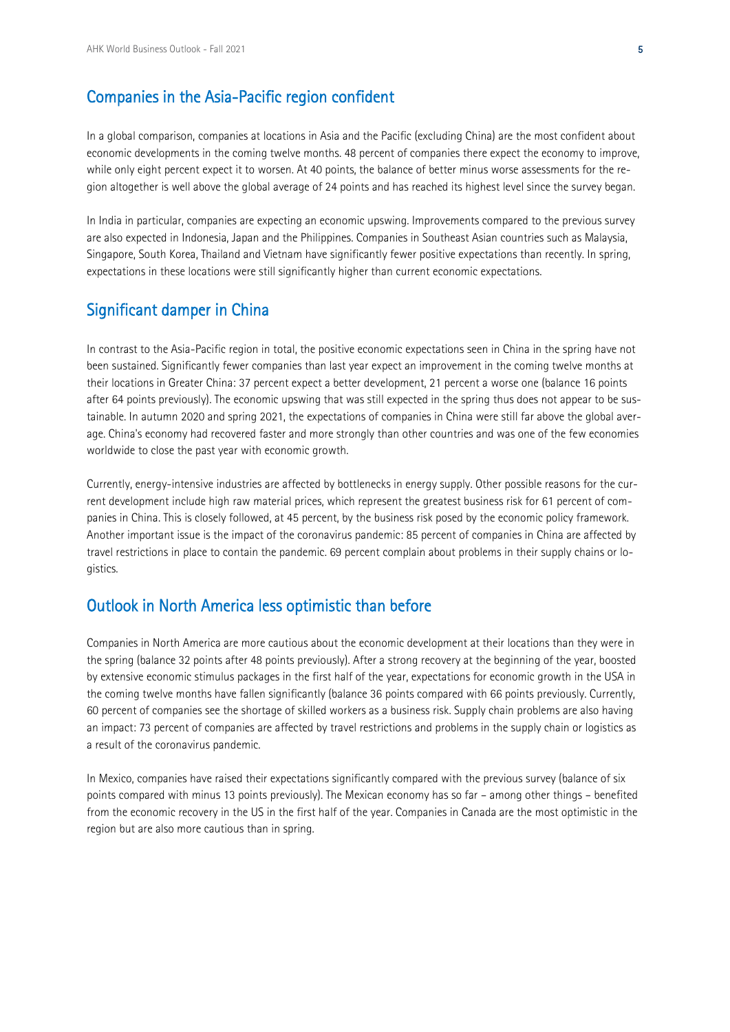## Companies in the Asia-Pacific region confident

In a global comparison, companies at locations in Asia and the Pacific (excluding China) are the most confident about economic developments in the coming twelve months. 48 percent of companies there expect the economy to improve, while only eight percent expect it to worsen. At 40 points, the balance of better minus worse assessments for the region altogether is well above the global average of 24 points and has reached its highest level since the survey began.

In India in particular, companies are expecting an economic upswing. Improvements compared to the previous survey are also expected in Indonesia, Japan and the Philippines. Companies in Southeast Asian countries such as Malaysia, Singapore, South Korea, Thailand and Vietnam have significantly fewer positive expectations than recently. In spring, expectations in these locations were still significantly higher than current economic expectations.

### Significant damper in China

In contrast to the Asia-Pacific region in total, the positive economic expectations seen in China in the spring have not been sustained. Significantly fewer companies than last year expect an improvement in the coming twelve months at their locations in Greater China: 37 percent expect a better development, 21 percent a worse one (balance 16 points after 64 points previously). The economic upswing that was still expected in the spring thus does not appear to be sustainable. In autumn 2020 and spring 2021, the expectations of companies in China were still far above the global average. China's economy had recovered faster and more strongly than other countries and was one of the few economies worldwide to close the past year with economic growth.

Currently, energy-intensive industries are affected by bottlenecks in energy supply. Other possible reasons for the current development include high raw material prices, which represent the greatest business risk for 61 percent of companies in China. This is closely followed, at 45 percent, by the business risk posed by the economic policy framework. Another important issue is the impact of the coronavirus pandemic: 85 percent of companies in China are affected by travel restrictions in place to contain the pandemic. 69 percent complain about problems in their supply chains or logistics.

### Outlook in North America less optimistic than before

Companies in North America are more cautious about the economic development at their locations than they were in the spring (balance 32 points after 48 points previously). After a strong recovery at the beginning of the year, boosted by extensive economic stimulus packages in the first half of the year, expectations for economic growth in the USA in the coming twelve months have fallen significantly (balance 36 points compared with 66 points previously. Currently, 60 percent of companies see the shortage of skilled workers as a business risk. Supply chain problems are also having an impact: 73 percent of companies are affected by travel restrictions and problems in the supply chain or logistics as a result of the coronavirus pandemic.

In Mexico, companies have raised their expectations significantly compared with the previous survey (balance of six points compared with minus 13 points previously). The Mexican economy has so far – among other things – benefited from the economic recovery in the US in the first half of the year. Companies in Canada are the most optimistic in the region but are also more cautious than in spring.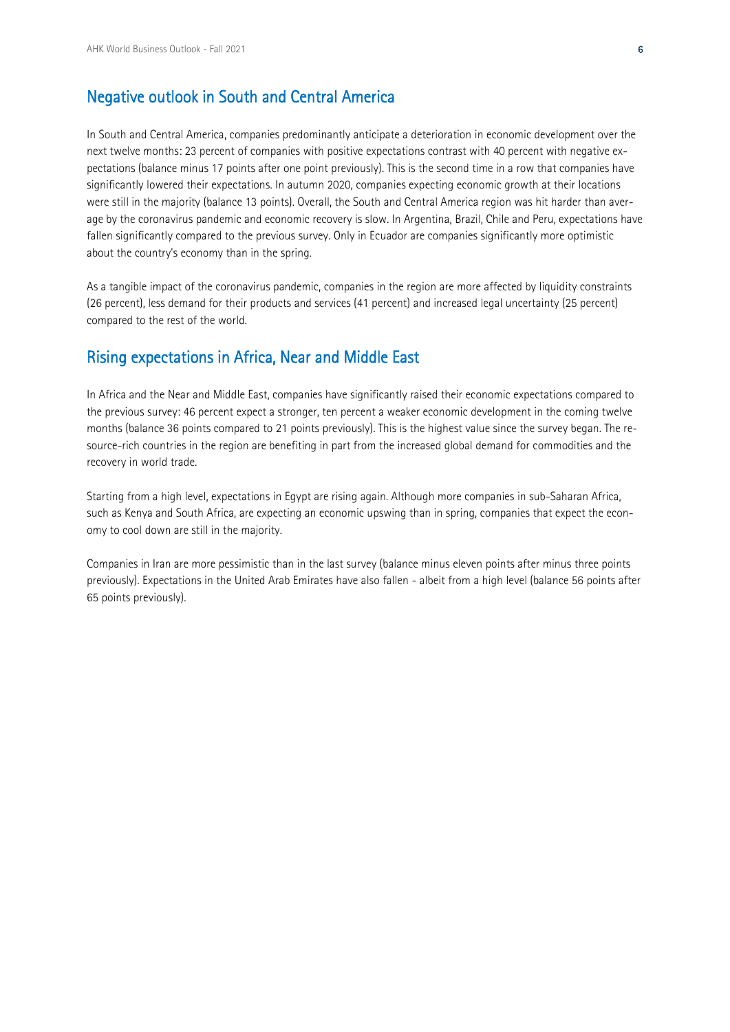## Negative outlook in South and Central America

In South and Central America, companies predominantly anticipate a deterioration in economic development over the next twelve months: 23 percent of companies with positive expectations contrast with 40 percent with negative expectations (balance minus 17 points after one point previously). This is the second time in a row that companies have significantly lowered their expectations. In autumn 2020, companies expecting economic growth at their locations were still in the majority (balance 13 points). Overall, the South and Central America region was hit harder than average by the coronavirus pandemic and economic recovery is slow. In Argentina, Brazil, Chile and Peru, expectations have fallen significantly compared to the previous survey. Only in Ecuador are companies significantly more optimistic about the country's economy than in the spring.

As a tangible impact of the coronavirus pandemic, companies in the region are more affected by liquidity constraints (26 percent), less demand for their products and services (41 percent) and increased legal uncertainty (25 percent) compared to the rest of the world.

#### Rising expectations in Africa, Near and Middle East

In Africa and the Near and Middle East, companies have significantly raised their economic expectations compared to the previous survey: 46 percent expect a stronger, ten percent a weaker economic development in the coming twelve months (balance 36 points compared to 21 points previously). This is the highest value since the survey began. The resource-rich countries in the region are benefiting in part from the increased global demand for commodities and the recovery in world trade.

Starting from a high level, expectations in Egypt are rising again. Although more companies in sub-Saharan Africa, such as Kenya and South Africa, are expecting an economic upswing than in spring, companies that expect the economy to cool down are still in the majority.

Companies in Iran are more pessimistic than in the last survey (balance minus eleven points after minus three points previously). Expectations in the United Arab Emirates have also fallen - albeit from a high level (balance 56 points after 65 points previously).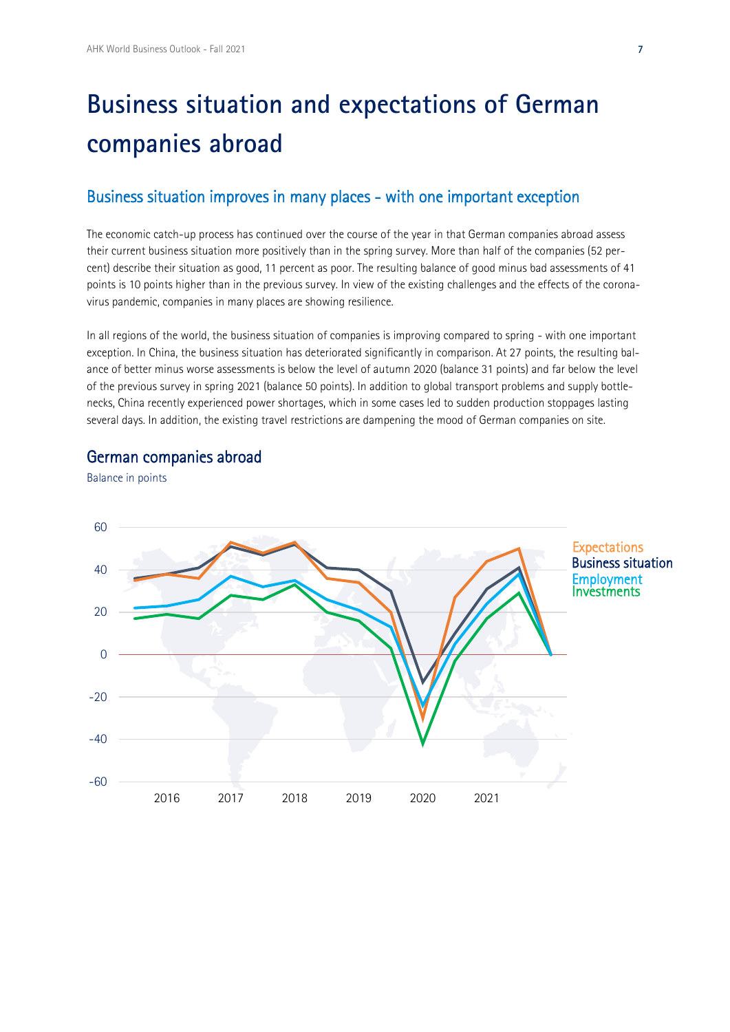# **Business situation and expectations of German companies abroad**

### Business situation improves in many places - with one important exception

The economic catch-up process has continued over the course of the year in that German companies abroad assess their current business situation more positively than in the spring survey. More than half of the companies (52 percent) describe their situation as good, 11 percent as poor. The resulting balance of good minus bad assessments of 41 points is 10 points higher than in the previous survey. In view of the existing challenges and the effects of the coronavirus pandemic, companies in many places are showing resilience.

In all regions of the world, the business situation of companies is improving compared to spring - with one important exception. In China, the business situation has deteriorated significantly in comparison. At 27 points, the resulting balance of better minus worse assessments is below the level of autumn 2020 (balance 31 points) and far below the level of the previous survey in spring 2021 (balance 50 points). In addition to global transport problems and supply bottlenecks, China recently experienced power shortages, which in some cases led to sudden production stoppages lasting several days. In addition, the existing travel restrictions are dampening the mood of German companies on site.

### German companies abroad

Balance in points

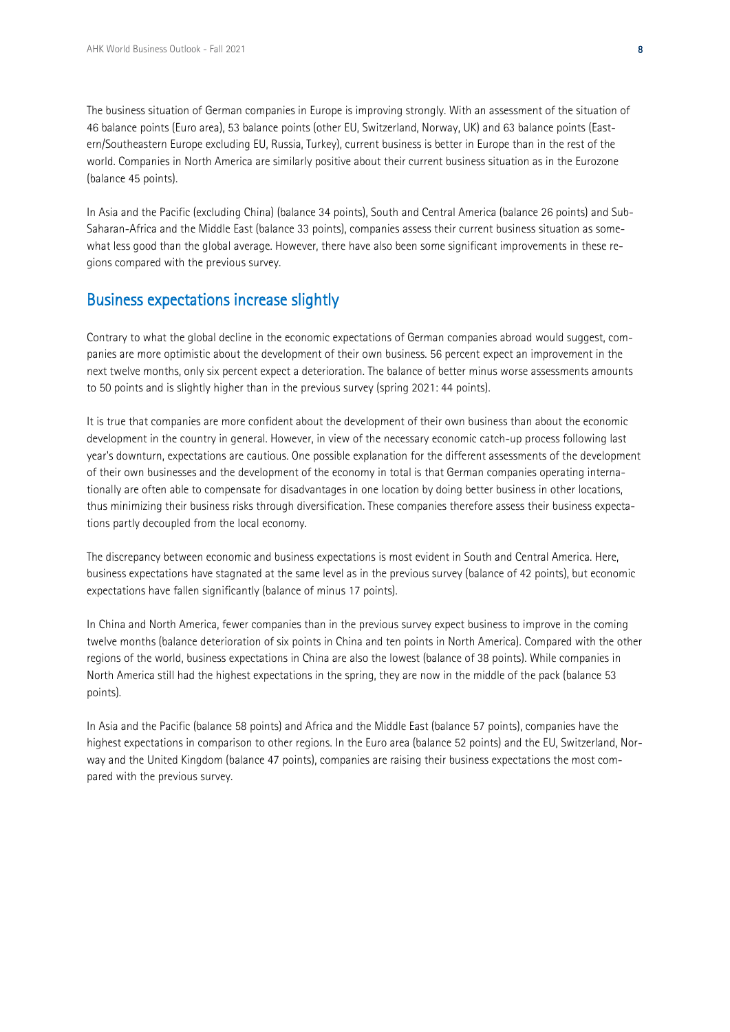The business situation of German companies in Europe is improving strongly. With an assessment of the situation of 46 balance points (Euro area), 53 balance points (other EU, Switzerland, Norway, UK) and 63 balance points (Eastern/Southeastern Europe excluding EU, Russia, Turkey), current business is better in Europe than in the rest of the world. Companies in North America are similarly positive about their current business situation as in the Eurozone (balance 45 points).

In Asia and the Pacific (excluding China) (balance 34 points), South and Central America (balance 26 points) and Sub-Saharan-Africa and the Middle East (balance 33 points), companies assess their current business situation as somewhat less good than the global average. However, there have also been some significant improvements in these regions compared with the previous survey.

### Business expectations increase slightly

Contrary to what the global decline in the economic expectations of German companies abroad would suggest, companies are more optimistic about the development of their own business. 56 percent expect an improvement in the next twelve months, only six percent expect a deterioration. The balance of better minus worse assessments amounts to 50 points and is slightly higher than in the previous survey (spring 2021: 44 points).

It is true that companies are more confident about the development of their own business than about the economic development in the country in general. However, in view of the necessary economic catch-up process following last year's downturn, expectations are cautious. One possible explanation for the different assessments of the development of their own businesses and the development of the economy in total is that German companies operating internationally are often able to compensate for disadvantages in one location by doing better business in other locations, thus minimizing their business risks through diversification. These companies therefore assess their business expectations partly decoupled from the local economy.

The discrepancy between economic and business expectations is most evident in South and Central America. Here, business expectations have stagnated at the same level as in the previous survey (balance of 42 points), but economic expectations have fallen significantly (balance of minus 17 points).

In China and North America, fewer companies than in the previous survey expect business to improve in the coming twelve months (balance deterioration of six points in China and ten points in North America). Compared with the other regions of the world, business expectations in China are also the lowest (balance of 38 points). While companies in North America still had the highest expectations in the spring, they are now in the middle of the pack (balance 53 points).

In Asia and the Pacific (balance 58 points) and Africa and the Middle East (balance 57 points), companies have the highest expectations in comparison to other regions. In the Euro area (balance 52 points) and the EU, Switzerland, Norway and the United Kingdom (balance 47 points), companies are raising their business expectations the most compared with the previous survey.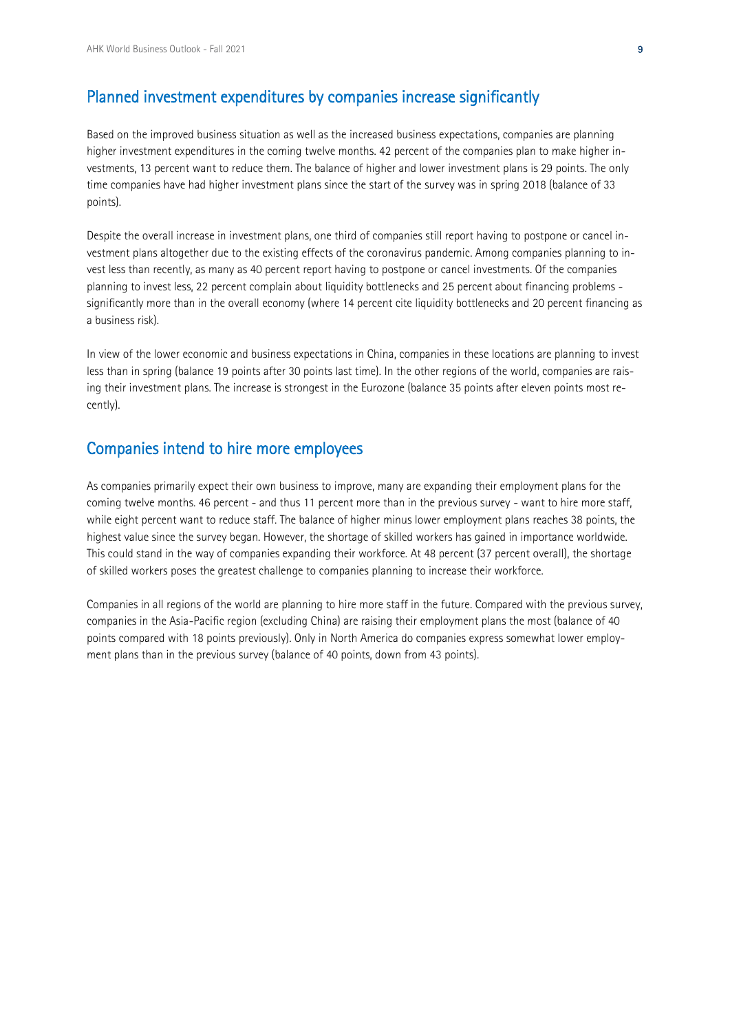## Planned investment expenditures by companies increase significantly

Based on the improved business situation as well as the increased business expectations, companies are planning higher investment expenditures in the coming twelve months. 42 percent of the companies plan to make higher investments, 13 percent want to reduce them. The balance of higher and lower investment plans is 29 points. The only time companies have had higher investment plans since the start of the survey was in spring 2018 (balance of 33 points).

Despite the overall increase in investment plans, one third of companies still report having to postpone or cancel investment plans altogether due to the existing effects of the coronavirus pandemic. Among companies planning to invest less than recently, as many as 40 percent report having to postpone or cancel investments. Of the companies planning to invest less, 22 percent complain about liquidity bottlenecks and 25 percent about financing problems significantly more than in the overall economy (where 14 percent cite liquidity bottlenecks and 20 percent financing as a business risk).

In view of the lower economic and business expectations in China, companies in these locations are planning to invest less than in spring (balance 19 points after 30 points last time). In the other regions of the world, companies are raising their investment plans. The increase is strongest in the Eurozone (balance 35 points after eleven points most recently).

#### Companies intend to hire more employees

As companies primarily expect their own business to improve, many are expanding their employment plans for the coming twelve months. 46 percent - and thus 11 percent more than in the previous survey - want to hire more staff, while eight percent want to reduce staff. The balance of higher minus lower employment plans reaches 38 points, the highest value since the survey began. However, the shortage of skilled workers has gained in importance worldwide. This could stand in the way of companies expanding their workforce. At 48 percent (37 percent overall), the shortage of skilled workers poses the greatest challenge to companies planning to increase their workforce.

Companies in all regions of the world are planning to hire more staff in the future. Compared with the previous survey, companies in the Asia-Pacific region (excluding China) are raising their employment plans the most (balance of 40 points compared with 18 points previously). Only in North America do companies express somewhat lower employment plans than in the previous survey (balance of 40 points, down from 43 points).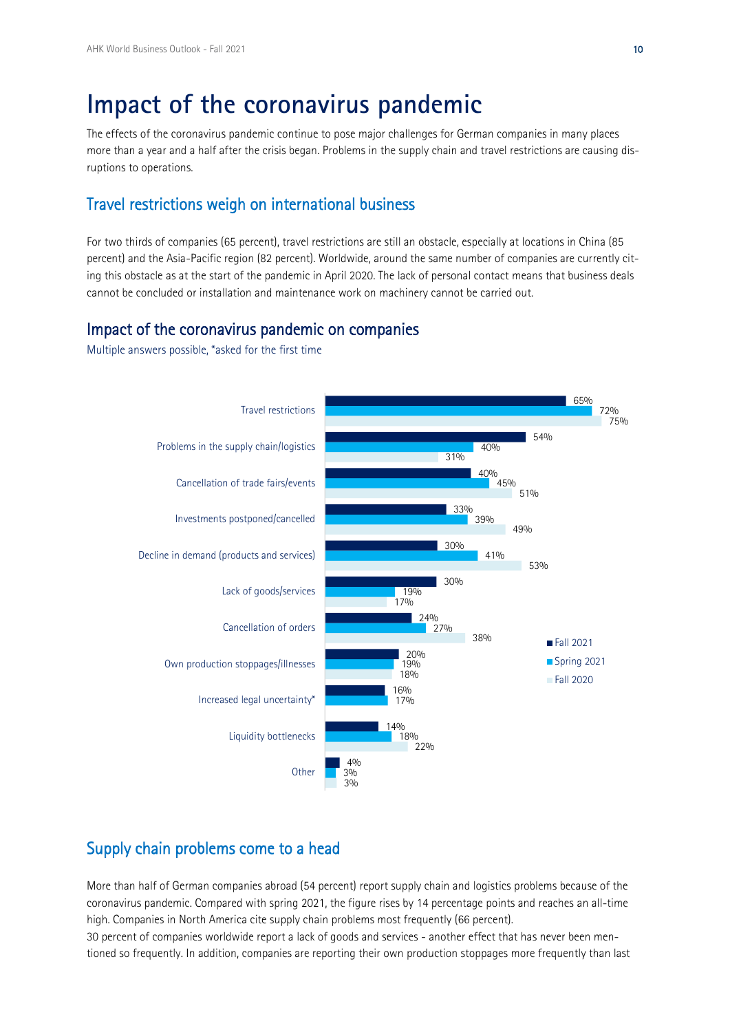## **Impact of the coronavirus pandemic**

The effects of the coronavirus pandemic continue to pose major challenges for German companies in many places more than a year and a half after the crisis began. Problems in the supply chain and travel restrictions are causing disruptions to operations.

## Travel restrictions weigh on international business

For two thirds of companies (65 percent), travel restrictions are still an obstacle, especially at locations in China (85 percent) and the Asia-Pacific region (82 percent). Worldwide, around the same number of companies are currently citing this obstacle as at the start of the pandemic in April 2020. The lack of personal contact means that business deals cannot be concluded or installation and maintenance work on machinery cannot be carried out.

### Impact of the coronavirus pandemic on companies

Multiple answers possible, \*asked for the first time



## Supply chain problems come to a head

More than half of German companies abroad (54 percent) report supply chain and logistics problems because of the coronavirus pandemic. Compared with spring 2021, the figure rises by 14 percentage points and reaches an all-time high. Companies in North America cite supply chain problems most frequently (66 percent).

30 percent of companies worldwide report a lack of goods and services - another effect that has never been mentioned so frequently. In addition, companies are reporting their own production stoppages more frequently than last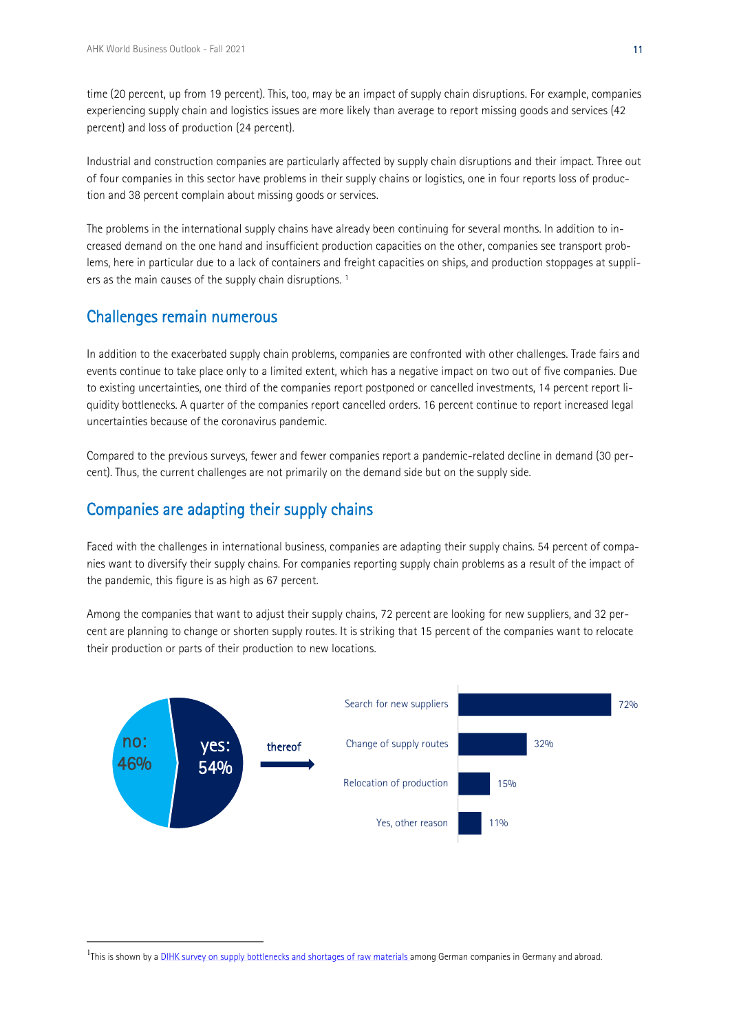time (20 percent, up from 19 percent). This, too, may be an impact of supply chain disruptions. For example, companies experiencing supply chain and logistics issues are more likely than average to report missing goods and services (42 percent) and loss of production (24 percent).

Industrial and construction companies are particularly affected by supply chain disruptions and their impact. Three out of four companies in this sector have problems in their supply chains or logistics, one in four reports loss of production and 38 percent complain about missing goods or services.

The problems in the international supply chains have already been continuing for several months. In addition to increased demand on the one hand and insufficient production capacities on the other, companies see transport problems, here in particular due to a lack of containers and freight capacities on ships, and production stoppages at suppli-ers as the main causes of the supply chain disruptions.<sup>[1](#page-10-0)</sup>

### <span id="page-10-1"></span>Challenges remain numerous

In addition to the exacerbated supply chain problems, companies are confronted with other challenges. Trade fairs and events continue to take place only to a limited extent, which has a negative impact on two out of five companies. Due to existing uncertainties, one third of the companies report postponed or cancelled investments, 14 percent report liquidity bottlenecks. A quarter of the companies report cancelled orders. 16 percent continue to report increased legal uncertainties because of the coronavirus pandemic.

Compared to the previous surveys, fewer and fewer companies report a pandemic-related decline in demand (30 percent). Thus, the current challenges are not primarily on the demand side but on the supply side.

## Companies are adapting their supply chains

Faced with the challenges in international business, companies are adapting their supply chains. 54 percent of companies want to diversify their supply chains. For companies reporting supply chain problems as a result of the impact of the pandemic, this figure is as high as 67 percent.

Among the companies that want to adjust their supply chains, 72 percent are looking for new suppliers, and 32 percent are planning to change or shorten supply routes. It is striking that 15 percent of the companies want to relocate their production or parts of their production to new locations.



<span id="page-10-0"></span><sup>&</sup>lt;sup>[1](#page-10-1)</sup>This is shown by a **DIHK survey on supply bottlenecks and shortages of raw materials among German companies in Germany and abroad.**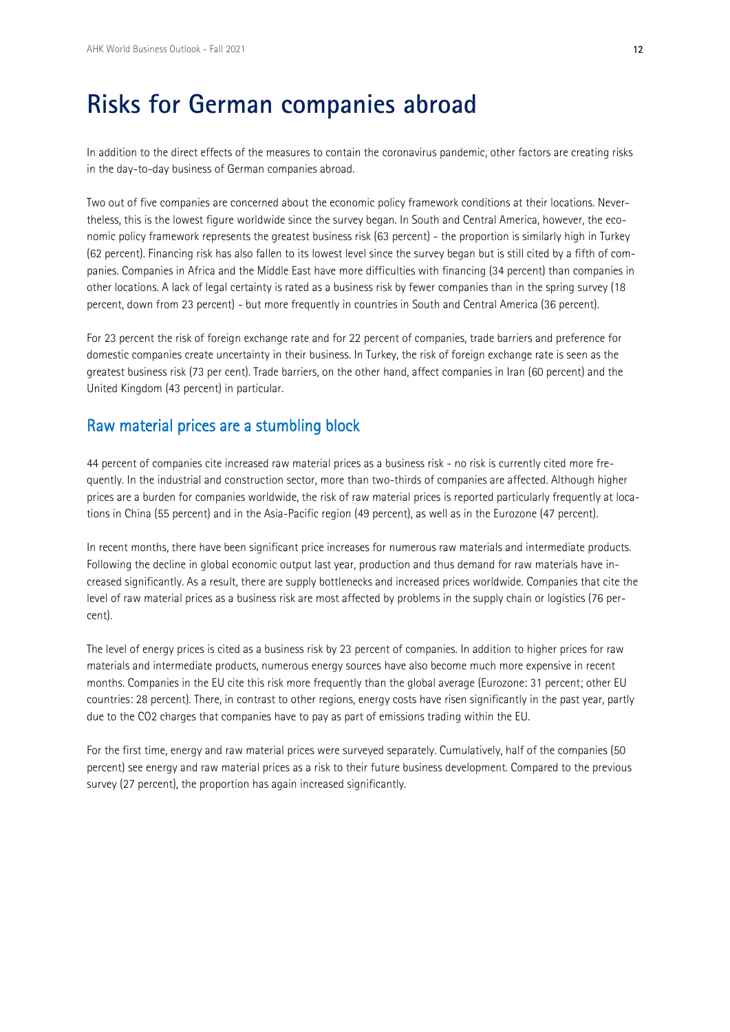# **Risks for German companies abroad**

In addition to the direct effects of the measures to contain the coronavirus pandemic, other factors are creating risks in the day-to-day business of German companies abroad.

Two out of five companies are concerned about the economic policy framework conditions at their locations. Nevertheless, this is the lowest figure worldwide since the survey began. In South and Central America, however, the economic policy framework represents the greatest business risk (63 percent) - the proportion is similarly high in Turkey (62 percent). Financing risk has also fallen to its lowest level since the survey began but is still cited by a fifth of companies. Companies in Africa and the Middle East have more difficulties with financing (34 percent) than companies in other locations. A lack of legal certainty is rated as a business risk by fewer companies than in the spring survey (18 percent, down from 23 percent) - but more frequently in countries in South and Central America (36 percent).

For 23 percent the risk of foreign exchange rate and for 22 percent of companies, trade barriers and preference for domestic companies create uncertainty in their business. In Turkey, the risk of foreign exchange rate is seen as the greatest business risk (73 per cent). Trade barriers, on the other hand, affect companies in Iran (60 percent) and the United Kingdom (43 percent) in particular.

## Raw material prices are a stumbling block

44 percent of companies cite increased raw material prices as a business risk - no risk is currently cited more frequently. In the industrial and construction sector, more than two-thirds of companies are affected. Although higher prices are a burden for companies worldwide, the risk of raw material prices is reported particularly frequently at locations in China (55 percent) and in the Asia-Pacific region (49 percent), as well as in the Eurozone (47 percent).

In recent months, there have been significant price increases for numerous raw materials and intermediate products. Following the decline in global economic output last year, production and thus demand for raw materials have increased significantly. As a result, there are supply bottlenecks and increased prices worldwide. Companies that cite the level of raw material prices as a business risk are most affected by problems in the supply chain or logistics (76 percent).

The level of energy prices is cited as a business risk by 23 percent of companies. In addition to higher prices for raw materials and intermediate products, numerous energy sources have also become much more expensive in recent months. Companies in the EU cite this risk more frequently than the global average (Eurozone: 31 percent; other EU countries: 28 percent). There, in contrast to other regions, energy costs have risen significantly in the past year, partly due to the CO2 charges that companies have to pay as part of emissions trading within the EU.

For the first time, energy and raw material prices were surveyed separately. Cumulatively, half of the companies (50 percent) see energy and raw material prices as a risk to their future business development. Compared to the previous survey (27 percent), the proportion has again increased significantly.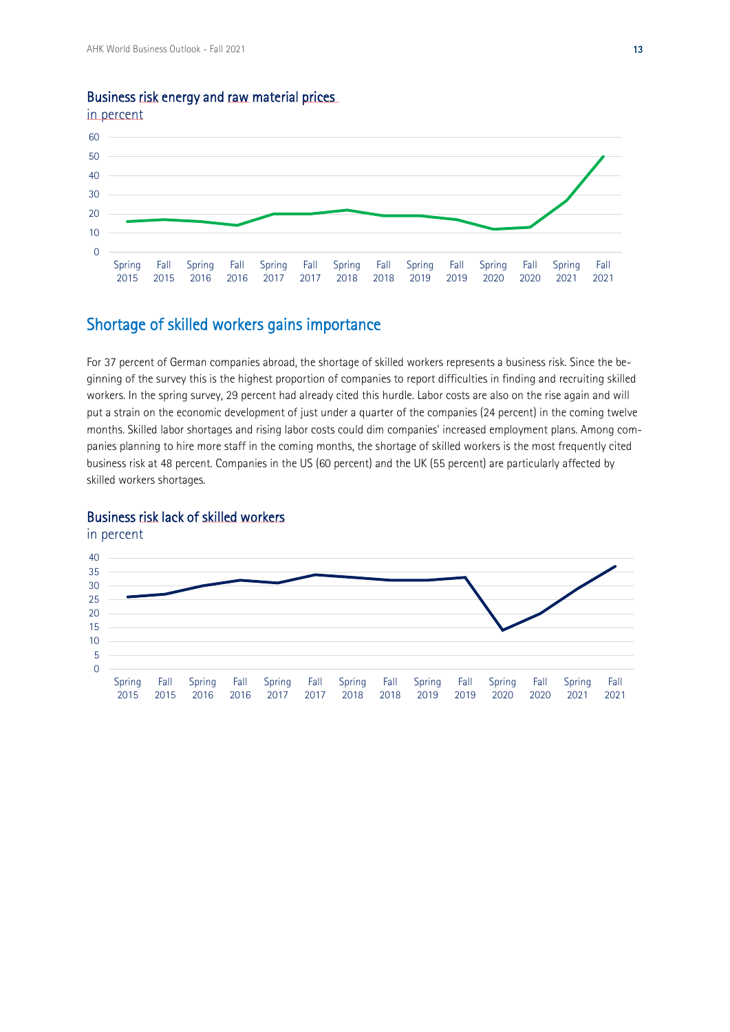

### Business risk energy and raw material prices

## Shortage of skilled workers gains importance

For 37 percent of German companies abroad, the shortage of skilled workers represents a business risk. Since the beginning of the survey this is the highest proportion of companies to report difficulties in finding and recruiting skilled workers. In the spring survey, 29 percent had already cited this hurdle. Labor costs are also on the rise again and will put a strain on the economic development of just under a quarter of the companies (24 percent) in the coming twelve months. Skilled labor shortages and rising labor costs could dim companies' increased employment plans. Among companies planning to hire more staff in the coming months, the shortage of skilled workers is the most frequently cited business risk at 48 percent. Companies in the US (60 percent) and the UK (55 percent) are particularly affected by skilled workers shortages.

#### Business risk lack of skilled workers

in percent

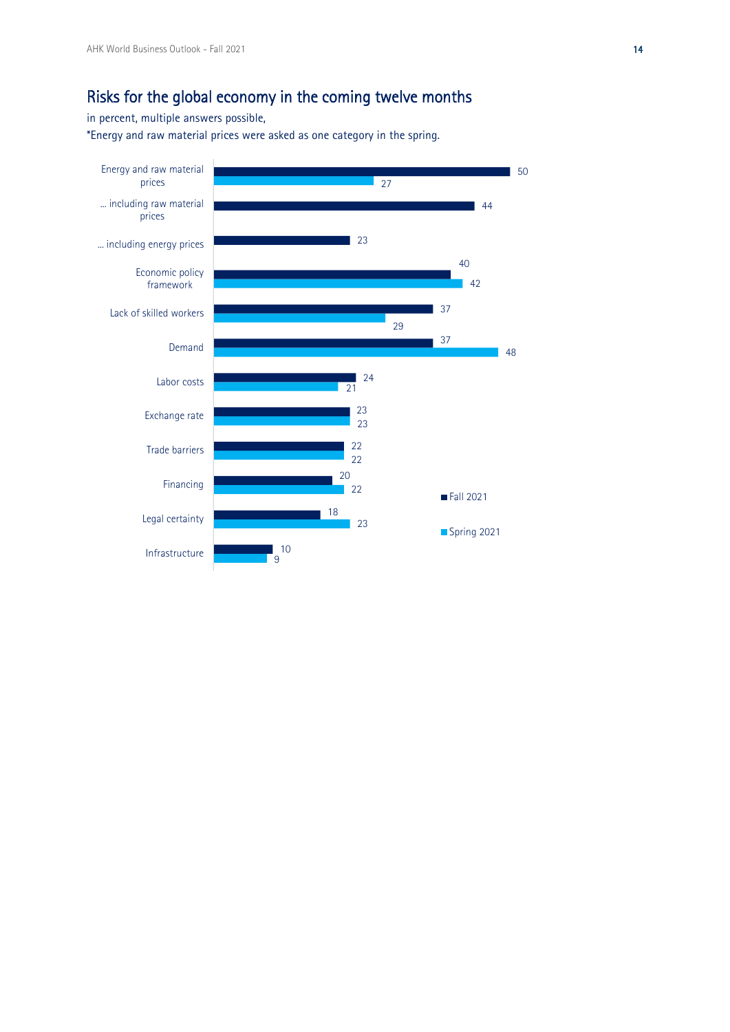## Risks for the global economy in the coming twelve months

in percent, multiple answers possible,

\*Energy and raw material prices were asked as one category in the spring.

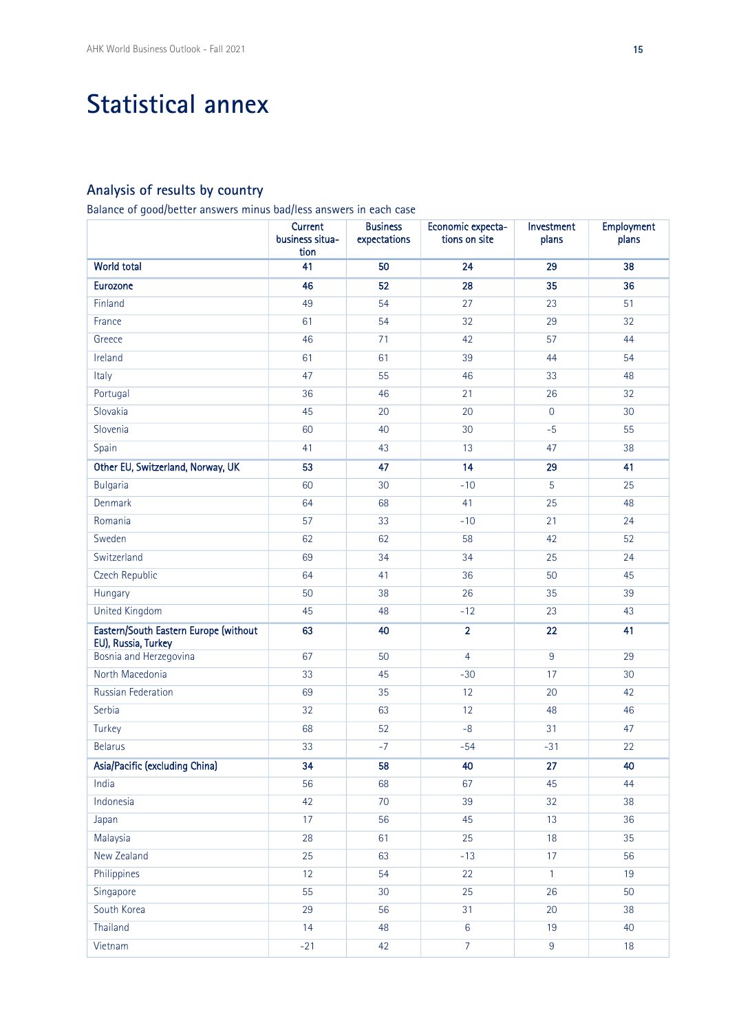# **Statistical annex**

## **Analysis of results by country**

Balance of good/better answers minus bad/less answers in each case

|                                                              | <b>Current</b><br>business situa-<br>tion | <b>Business</b><br>expectations | Economic expecta-<br>tions on site | Investment<br>plans | Employment<br>plans |
|--------------------------------------------------------------|-------------------------------------------|---------------------------------|------------------------------------|---------------------|---------------------|
| <b>World total</b>                                           | 41                                        | 50                              | 24                                 | 29                  | 38                  |
| <b>Eurozone</b>                                              | 46                                        | 52                              | 28                                 | 35                  | 36                  |
| Finland                                                      | 49                                        | 54                              | 27                                 | 23                  | 51                  |
| France                                                       | 61                                        | 54                              | 32                                 | 29                  | 32                  |
| Greece                                                       | 46                                        | 71                              | 42                                 | 57                  | 44                  |
| Ireland                                                      | 61                                        | 61                              | 39                                 | 44                  | 54                  |
| Italy                                                        | 47                                        | 55                              | 46                                 | 33                  | 48                  |
| Portugal                                                     | 36                                        | 46                              | 21                                 | 26                  | 32                  |
| Slovakia                                                     | 45                                        | 20                              | 20                                 | $\overline{0}$      | 30                  |
| Slovenia                                                     | 60                                        | 40                              | 30                                 | $-5$                | 55                  |
| Spain                                                        | 41                                        | 43                              | 13                                 | 47                  | 38                  |
| Other EU, Switzerland, Norway, UK                            | 53                                        | 47                              | 14                                 | 29                  | 41                  |
| <b>Bulgaria</b>                                              | 60                                        | 30                              | $-10$                              | 5                   | 25                  |
| Denmark                                                      | 64                                        | 68                              | 41                                 | 25                  | 48                  |
| Romania                                                      | 57                                        | 33                              | $-10$                              | 21                  | 24                  |
| Sweden                                                       | 62                                        | 62                              | 58                                 | 42                  | 52                  |
| Switzerland                                                  | 69                                        | 34                              | 34                                 | 25                  | 24                  |
| Czech Republic                                               | 64                                        | 41                              | 36                                 | 50                  | 45                  |
| Hungary                                                      | 50                                        | 38                              | 26                                 | 35                  | 39                  |
| <b>United Kingdom</b>                                        | 45                                        | 48                              | $-12$                              | 23                  | 43                  |
| Eastern/South Eastern Europe (without<br>EU), Russia, Turkey | 63                                        | 40                              | $\overline{2}$                     | 22                  | 41                  |
| Bosnia and Herzegovina                                       | 67                                        | 50                              | $\overline{4}$                     | $\overline{9}$      | 29                  |
| North Macedonia                                              | 33                                        | 45                              | $-30$                              | 17                  | 30                  |
| Russian Federation                                           | 69                                        | 35                              | 12                                 | 20                  | 42                  |
| Serbia                                                       | 32                                        | 63                              | 12                                 | 48                  | 46                  |
| Turkey                                                       | 68                                        | 52                              | $-8$                               | 31                  | 47                  |
| <b>Belarus</b>                                               | 33                                        | $-7$                            | $-54$                              | $-31$               | 22                  |
| Asia/Pacific (excluding China)                               | 34                                        | 58                              | 40                                 | 27                  | 40                  |
| India                                                        | 56                                        | 68                              | 67                                 | 45                  | 44                  |
| Indonesia                                                    | 42                                        | $70$                            | 39                                 | 32                  | 38                  |
| Japan                                                        | 17                                        | 56                              | 45                                 | 13                  | 36                  |
| Malaysia                                                     | 28                                        | 61                              | 25                                 | 18                  | 35                  |
| New Zealand                                                  | 25                                        | 63                              | $-13$                              | 17                  | 56                  |
| Philippines                                                  | 12                                        | 54                              | 22                                 | $\mathbf{1}$        | 19                  |
| Singapore                                                    | 55                                        | 30                              | 25                                 | 26                  | 50                  |
| South Korea                                                  | 29                                        | 56                              | 31                                 | $20\,$              | 38                  |
| Thailand                                                     | 14                                        | 48                              | $\overline{6}$                     | 19                  | 40                  |
| Vietnam                                                      | $-21$                                     | 42                              | $\overline{7}$                     | $\boldsymbol{9}$    | 18                  |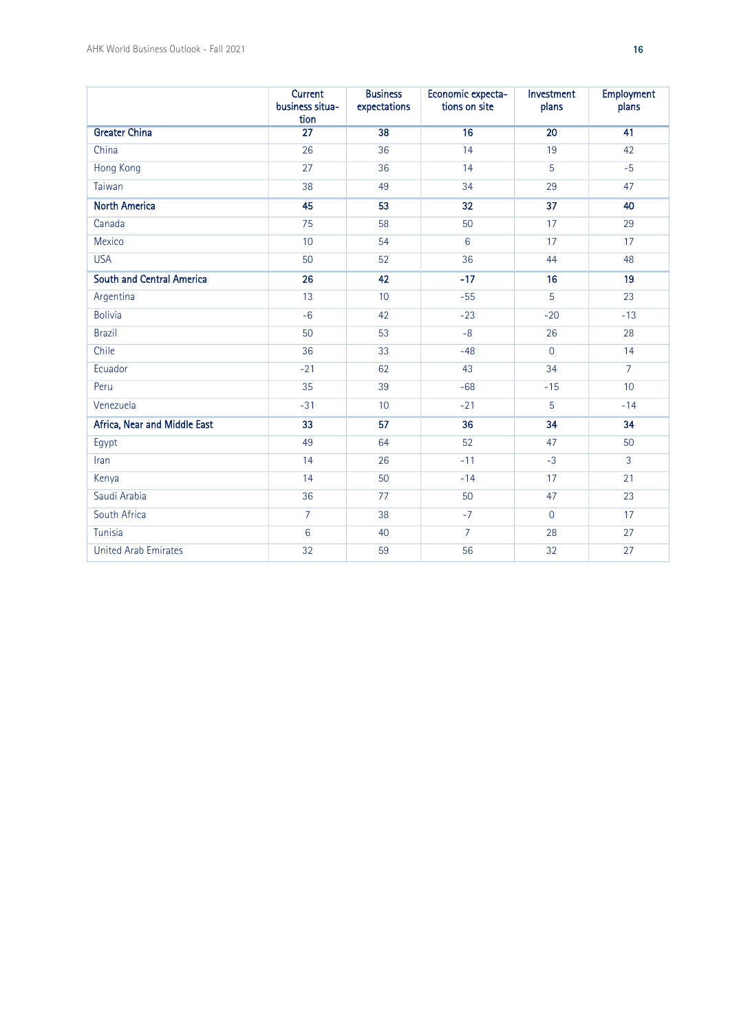|                                  | <b>Current</b><br>business situa-<br>tion | <b>Business</b><br>expectations | Economic expecta-<br>tions on site | Investment<br>plans | <b>Employment</b><br>plans |
|----------------------------------|-------------------------------------------|---------------------------------|------------------------------------|---------------------|----------------------------|
| <b>Greater China</b>             | $\overline{27}$                           | 38                              | 16                                 | $\overline{20}$     | 41                         |
| China                            | 26                                        | 36                              | 14                                 | 19                  | 42                         |
| <b>Hong Kong</b>                 | 27                                        | 36                              | 14                                 | 5                   | $-5$                       |
| Taiwan                           | 38                                        | 49                              | 34                                 | 29                  | 47                         |
| <b>North America</b>             | 45                                        | 53                              | 32                                 | 37                  | 40                         |
| Canada                           | 75                                        | 58                              | 50                                 | 17                  | 29                         |
| Mexico                           | 10                                        | 54                              | 6                                  | 17                  | 17                         |
| <b>USA</b>                       | 50                                        | 52                              | 36                                 | 44                  | 48                         |
| <b>South and Central America</b> | 26                                        | 42                              | $-17$                              | 16                  | 19                         |
| Argentina                        | 13                                        | 10                              | $-55$                              | $\overline{5}$      | 23                         |
| <b>Bolivia</b>                   | $-6$                                      | 42                              | $-23$                              | $-20$               | $-13$                      |
| <b>Brazil</b>                    | 50                                        | 53                              | $-8$                               | 26                  | 28                         |
| Chile                            | 36                                        | 33                              | $-48$                              | $\overline{0}$      | 14                         |
| Ecuador                          | $-21$                                     | 62                              | 43                                 | 34                  | $\overline{7}$             |
| Peru                             | 35                                        | 39                              | $-68$                              | $-15$               | 10                         |
| Venezuela                        | $-31$                                     | 10                              | $-21$                              | 5                   | $-14$                      |
| Africa, Near and Middle East     | 33                                        | 57                              | 36                                 | 34                  | 34                         |
| Egypt                            | 49                                        | 64                              | 52                                 | 47                  | 50                         |
| Iran                             | 14                                        | 26                              | $-11$                              | $-3$                | $\mathbf{3}$               |
| Kenya                            | 14                                        | 50                              | $-14$                              | 17                  | 21                         |
| Saudi Arabia                     | 36                                        | 77                              | 50                                 | 47                  | 23                         |
| South Africa                     | $\overline{7}$                            | 38                              | $-7$                               | $\overline{0}$      | 17                         |
| Tunisia                          | $6\,$                                     | 40                              | $\overline{7}$                     | 28                  | 27                         |
| <b>United Arab Emirates</b>      | $\overline{32}$                           | 59                              | 56                                 | 32                  | 27                         |